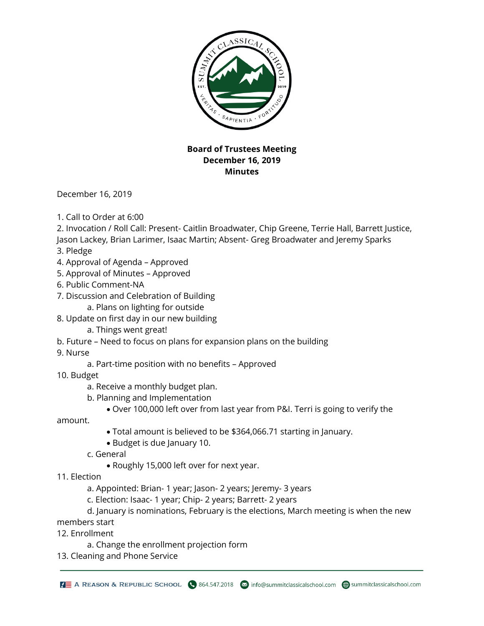

## **Board of Trustees Meeting December 16, 2019 Minutes**

December 16, 2019

- 1. Call to Order at 6:00
- 2. Invocation / Roll Call: Present- Caitlin Broadwater, Chip Greene, Terrie Hall, Barrett Justice, Jason Lackey, Brian Larimer, Isaac Martin; Absent- Greg Broadwater and Jeremy Sparks
- 3. Pledge
- 4. Approval of Agenda Approved
- 5. Approval of Minutes Approved
- 6. Public Comment-NA
- 7. Discussion and Celebration of Building
	- a. Plans on lighting for outside
- 8. Update on first day in our new building
	- a. Things went great!
- b. Future Need to focus on plans for expansion plans on the building
- 9. Nurse
	- a. Part-time position with no benefits Approved
- 10. Budget
	- a. Receive a monthly budget plan.
	- b. Planning and Implementation
		- Over 100,000 left over from last year from P&I. Terri is going to verify the

amount.

- Total amount is believed to be \$364,066.71 starting in January.
- Budget is due January 10.
- c. General
	- Roughly 15,000 left over for next year.
- 11. Election
	- a. Appointed: Brian- 1 year; Jason- 2 years; Jeremy- 3 years
	- c. Election: Isaac- 1 year; Chip- 2 years; Barrett- 2 years
- d. January is nominations, February is the elections, March meeting is when the new members start
- 12. Enrollment
	- a. Change the enrollment projection form
- 13. Cleaning and Phone Service